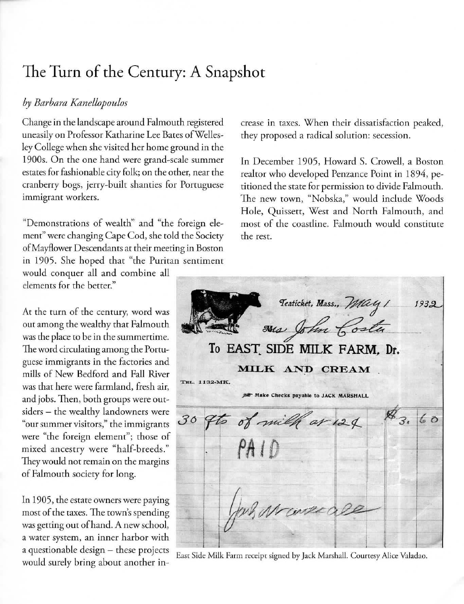## The **Turn** of the Century: A Snapshot

## *by Barbara Kanellopoulos*

Change in the landscape around Falmouth registered uneasily on **Professor Katharine Lee Bates ofWdles**ley College when she visited her home ground in the 1900s. On the one hand were grand-scale summer estates for fashionable city folk; on the other, near the **cranberry bogs, jerry-built shanties for Portuguese immigrant workers.** 

"Demonstrations of wealth" and "the foreign element" were changing Cape Cod, she told the Society of Mayflower **Descendants at their meeting in Boston**  in 1905. She hoped that "the Puritan sentiment

would conquer all and combine all **elements for the better."** 

**At the (urn of the century. word was**  our among the wealthy that Falmouth was the place to be in the summertime. **The word circulating among the Porru**guese immigrants in the factories and mills of New Bedford and Fall River was that here were farmland, fresh air, and jobs. Then, both groups were outsiders - the wealthy landowners were **"our summer visitors," rhe immigrants were "the foreign element"; those of**  mixed ancestry were "half-breeds." **They would not remain on the margins**  of Falmouth society for long.

In 1905, the estate owners were paying **most of the taxes. The town's spending**  was getting our of hand. A new school, **a water system , an inner harbor with**  a questionable design - these projects would surely bring about another in**crease in taxes. When their dissatisfaction peaked, they proposed a radical solution: secession.** 

In December 1905, Howard S. Crowell, a Boston realtor who developed Penzance Point in 1894, pe**titioned the state for permission to divide Falmouth.**  The new town, "Nobska," would include Woods Hole, Quissett, West and North Falmouth, and **most of the coasrline. Falmourh would constitute the rest.** 

|                                                                  |  | To EAST SIDE MILK FARM, Dr.             | Teaticket, Mass., May 1<br>was John Costa<br>MILK AND CREAM |  |  |  | 1932 |
|------------------------------------------------------------------|--|-----------------------------------------|-------------------------------------------------------------|--|--|--|------|
| TEL. 1132-MK.<br><b>JEF Make Checks payable to JACK MARSHALL</b> |  |                                         |                                                             |  |  |  |      |
|                                                                  |  | 30 9to of milk ar 124 \$3.60<br>$-PAID$ |                                                             |  |  |  |      |
|                                                                  |  |                                         |                                                             |  |  |  |      |
|                                                                  |  | Jan Marecale                            |                                                             |  |  |  |      |

East Side Milk Farm receipt signed by Jack Marshall. Courtesy Alice Valadao.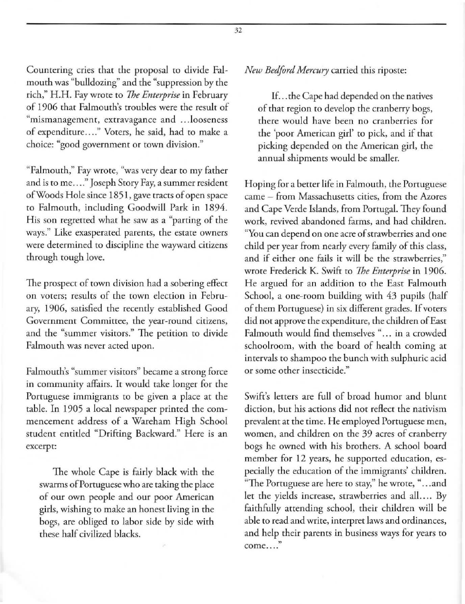Countering cries that the proposal to divide Falmouth was "bulldozing" and the "suppression by the tich," H.H. Fay wrote to *The Enterprise* in February of 1906 that Falmouth's troubles were the result of **"mismanagement, extravagance and .. .looseness**  of expenditure...." Voters, he said, had to make a choice: "good government or town division."

"Falmouth," Fay wrote, "was very dear to my father and is to me...." Joseph Story Fay, a summer resident of Woods Hole since 1851 , gave tracts of open space to Falmouth, including Goodwill Park in 1894. His son regretted what he saw as a "parting of the **ways." Like exasperated parents, the estate owners were determined to discipline the wayward citizens**  through tough love.

The prospect of town division had a sobering effect **on voters; results of the town election in Febru**ary, 1906, satisfied the recently established Good Government Committee, the year-round citizens, **and the "summer visitors." The petition to divide Falmouth was never acted upon.** 

**Falmouth's "summer visitors" became a strong force**  in community affairs. It would take longer for the **Portuguese immigrants to be given a place at the**  table. In 1905 a local newspaper printed the commencement address of a Wareham High School student entitled "Drifting Backward." Here is an **excerpt:** 

The whole Cape is fairly black with the swarms of Portuguese who are taking the place of our own people and our poor American girls, wishing to make an honest living in the bogs, are obliged to labor side by side with these half civilized blacks.

*New Bedford Mercury* carried this riposte:

If ... the Cape had depended on the natives of that region to develop the cranberry bogs, **there would have been no cranberries for**  the 'poor American girl' to pick, and if that picking depended on the American girl, the annual shipments would be smaller.

Hoping for a better life in Falmouth, the Portuguese **came - from Massachusens cities, from the Azores**  and Cape Verde Islands, from Porrugal. They found work, revived abandoned farms, and had children. **"You can depend on one acre of strawberries and one**  child per year from nearly every family of this class, **and if either one fails it will be the strawberries,"**  wrote Frederick K. Swifi: to *The Enterprise* in 1906. He argued for an addition to the East Falmouth School, a one-room building with 43 pupils (half of them Portuguese) in six different grades. If voters did not approve the expenditure, the children of East Falmouth would find themselves "... in a crowded schoolroom, with the board of health coming at intervals to shampoo the bunch with sulphuric acid **or some other insecticide."** 

Swift's letters are full of broad humor and blunt diction, but his actions did not reflect the nativism prevalent at the time. He employed Portuguese men, women, and children on the 39 acres of cranberry bogs he owned with his brothers. A school board member for 12 years, he supported education, especially the education of the immigrants' children. **"The Portuguese are here to stay," he wrote, " ... and**  let the yields increase, strawberries and all.... By faithfully attending school, their children will be able to read and write, interpret laws and ordinances, and help their parents in business ways for years to **come . .....**